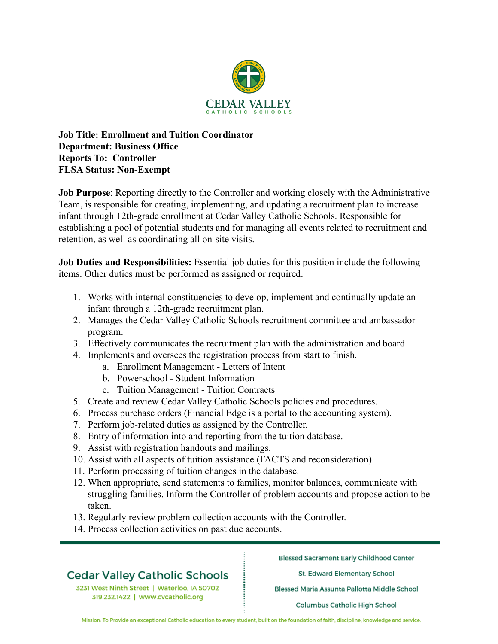

### **Job Title: Enrollment and Tuition Coordinator Department: Business Office Reports To: Controller FLSA Status: Non-Exempt**

**Job Purpose**: Reporting directly to the Controller and working closely with the Administrative Team, is responsible for creating, implementing, and updating a recruitment plan to increase infant through 12th-grade enrollment at Cedar Valley Catholic Schools. Responsible for establishing a pool of potential students and for managing all events related to recruitment and retention, as well as coordinating all on-site visits.

**Job Duties and Responsibilities:** Essential job duties for this position include the following items. Other duties must be performed as assigned or required.

- 1. Works with internal constituencies to develop, implement and continually update an infant through a 12th-grade recruitment plan.
- 2. Manages the Cedar Valley Catholic Schools recruitment committee and ambassador program.
- 3. Effectively communicates the recruitment plan with the administration and board
- 4. Implements and oversees the registration process from start to finish.
	- a. Enrollment Management Letters of Intent
	- b. Powerschool Student Information
	- c. Tuition Management Tuition Contracts
- 5. Create and review Cedar Valley Catholic Schools policies and procedures.
- 6. Process purchase orders (Financial Edge is a portal to the accounting system).
- 7. Perform job-related duties as assigned by the Controller.
- 8. Entry of information into and reporting from the tuition database.
- 9. Assist with registration handouts and mailings.
- 10. Assist with all aspects of tuition assistance (FACTS and reconsideration).
- 11. Perform processing of tuition changes in the database.
- 12. When appropriate, send statements to families, monitor balances, communicate with struggling families. Inform the Controller of problem accounts and propose action to be taken.
- 13. Regularly review problem collection accounts with the Controller.
- 14. Process collection activities on past due accounts.

# **Cedar Valley Catholic Schools**

3231 West Ninth Street | Waterloo, IA 50702 319.232.1422 | www.cvcatholic.org

**Blessed Sacrament Early Childhood Center** 

St. Edward Elementary School

Blessed Maria Assunta Pallotta Middle School

**Columbus Catholic High School** 

Mission: To Provide an exceptional Catholic education to every student, built on the foundation of faith, discipline, knowledge and service.